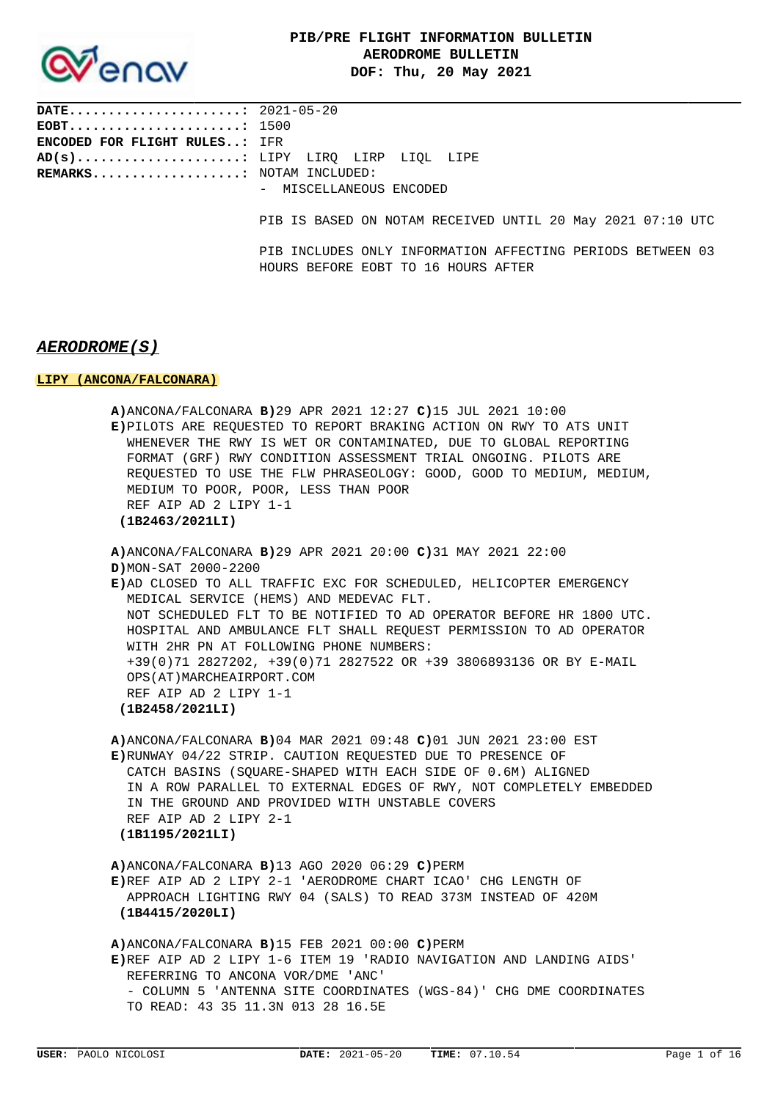

**DATE......................:** 2021-05-20 **EOBT......................:** 1500 **ENCODED FOR FLIGHT RULES..:** IFR **AD(s).....................:** LIPY LIRQ LIRP LIQL LIPE **REMARKS...................:** NOTAM INCLUDED: - MISCELLANEOUS ENCODED PIB IS BASED ON NOTAM RECEIVED UNTIL 20 May 2021 07:10 UTC PIB INCLUDES ONLY INFORMATION AFFECTING PERIODS BETWEEN 03 HOURS BEFORE EOBT TO 16 HOURS AFTER

## **AERODROME(S)**

### **LIPY (ANCONA/FALCONARA)**

| A) ANCONA/FALCONARA B) 29 APR 2021 12:27 C) 15 JUL 2021 10:00<br>E)PILOTS ARE REOUESTED TO REPORT BRAKING ACTION ON RWY TO ATS UNIT<br>WHENEVER THE RWY IS WET OR CONTAMINATED, DUE TO GLOBAL REPORTING<br>FORMAT (GRF) RWY CONDITION ASSESSMENT TRIAL ONGOING. PILOTS ARE<br>REQUESTED TO USE THE FLW PHRASEOLOGY: GOOD, GOOD TO MEDIUM, MEDIUM,<br>MEDIUM TO POOR, POOR, LESS THAN POOR<br>REF AIP AD 2 LIPY 1-1<br>(1B2463/2021LI)                                                                                                         |  |
|-----------------------------------------------------------------------------------------------------------------------------------------------------------------------------------------------------------------------------------------------------------------------------------------------------------------------------------------------------------------------------------------------------------------------------------------------------------------------------------------------------------------------------------------------|--|
| A) ANCONA/FALCONARA B) 29 APR 2021 20:00 C) 31 MAY 2021 22:00<br>D) MON-SAT 2000-2200<br>E)AD CLOSED TO ALL TRAFFIC EXC FOR SCHEDULED, HELICOPTER EMERGENCY<br>MEDICAL SERVICE (HEMS) AND MEDEVAC FLT.<br>NOT SCHEDULED FLT TO BE NOTIFIED TO AD OPERATOR BEFORE HR 1800 UTC.<br>HOSPITAL AND AMBULANCE FLT SHALL REQUEST PERMISSION TO AD OPERATOR<br>WITH 2HR PN AT FOLLOWING PHONE NUMBERS:<br>+39(0)71 2827202, +39(0)71 2827522 OR +39 3806893136 OR BY E-MAIL<br>OPS (AT) MARCHEAIRPORT.COM<br>REF AIP AD 2 LIPY 1-1<br>(1B2458/2021LI) |  |
| A) ANCONA/FALCONARA B) 04 MAR 2021 09:48 C) 01 JUN 2021 23:00 EST<br>E)RUNWAY 04/22 STRIP. CAUTION REOUESTED DUE TO PRESENCE OF<br>CATCH BASINS (SOUARE-SHAPED WITH EACH SIDE OF 0.6M) ALIGNED<br>IN A ROW PARALLEL TO EXTERNAL EDGES OF RWY, NOT COMPLETELY EMBEDDED<br>IN THE GROUND AND PROVIDED WITH UNSTABLE COVERS<br>REF AIP AD 2 LIPY 2-1<br>(1B1195/2021LI)                                                                                                                                                                          |  |
| $A)$ ANCONA/FALCONARA $B)$ 13 AGO 2020 06:29 C)PERM<br>E)REF AIP AD 2 LIPY 2-1 'AERODROME CHART ICAO' CHG LENGTH OF<br>APPROACH LIGHTING RWY 04 (SALS) TO READ 373M INSTEAD OF 420M<br>(1B4415/2020LI)                                                                                                                                                                                                                                                                                                                                        |  |
| $A)$ ANCONA/FALCONARA B)15 FEB 2021 00:00 C)PERM<br>E)REF AIP AD 2 LIPY 1-6 ITEM 19 'RADIO NAVIGATION AND LANDING AIDS'<br>REFERRING TO ANCONA VOR/DME 'ANC'<br>- COLUMN 5 'ANTENNA SITE COORDINATES (WGS-84)' CHG DME COORDINATES<br>TO READ: 43 35 11.3N 013 28 16.5E                                                                                                                                                                                                                                                                       |  |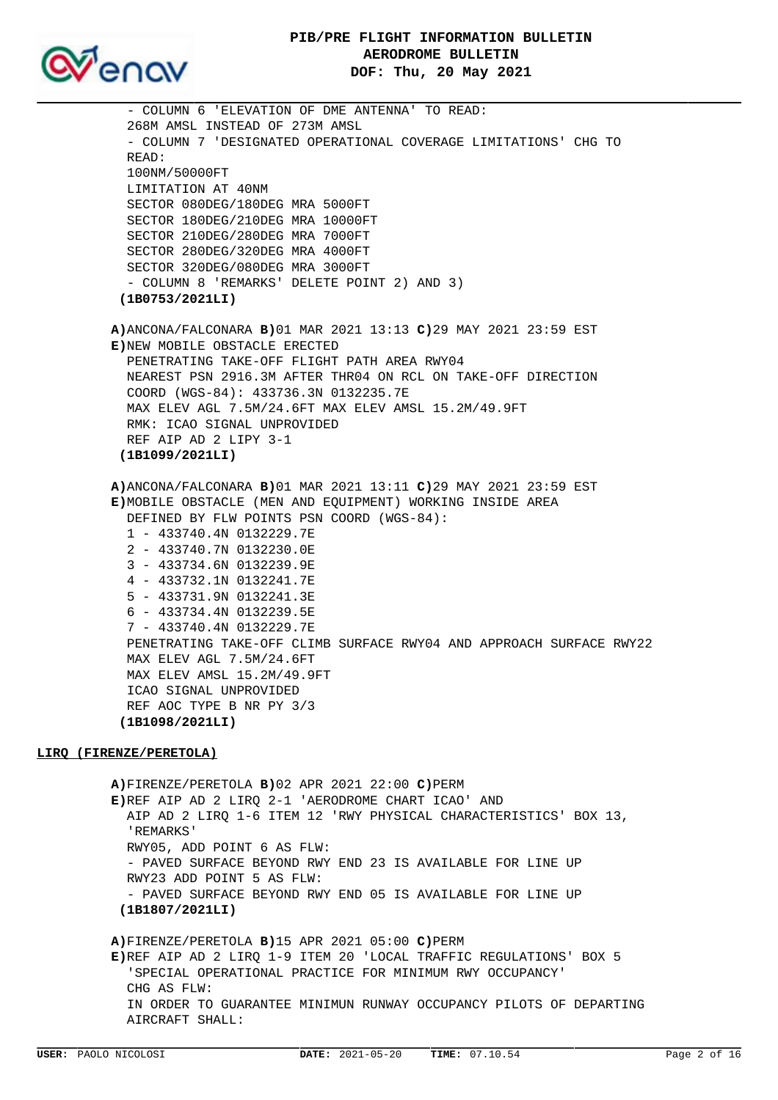



 - COLUMN 6 'ELEVATION OF DME ANTENNA' TO READ: 268M AMSL INSTEAD OF 273M AMSL - COLUMN 7 'DESIGNATED OPERATIONAL COVERAGE LIMITATIONS' CHG TO READ: 100NM/50000FT LIMITATION AT 40NM SECTOR 080DEG/180DEG MRA 5000FT SECTOR 180DEG/210DEG MRA 10000FT SECTOR 210DEG/280DEG MRA 7000FT SECTOR 280DEG/320DEG MRA 4000FT SECTOR 320DEG/080DEG MRA 3000FT - COLUMN 8 'REMARKS' DELETE POINT 2) AND 3)  **(1B0753/2021LI) A)**ANCONA/FALCONARA **B)**01 MAR 2021 13:13 **C)**29 MAY 2021 23:59 EST **E)**NEW MOBILE OBSTACLE ERECTED PENETRATING TAKE-OFF FLIGHT PATH AREA RWY04 NEAREST PSN 2916.3M AFTER THR04 ON RCL ON TAKE-OFF DIRECTION COORD (WGS-84): 433736.3N 0132235.7E MAX ELEV AGL 7.5M/24.6FT MAX ELEV AMSL 15.2M/49.9FT RMK: ICAO SIGNAL UNPROVIDED REF AIP AD 2 LIPY 3-1  **(1B1099/2021LI) A)**ANCONA/FALCONARA **B)**01 MAR 2021 13:11 **C)**29 MAY 2021 23:59 EST **E)**MOBILE OBSTACLE (MEN AND EQUIPMENT) WORKING INSIDE AREA DEFINED BY FLW POINTS PSN COORD (WGS-84): 1 - 433740.4N 0132229.7E 2 - 433740.7N 0132230.0E 3 - 433734.6N 0132239.9E 4 - 433732.1N 0132241.7E 5 - 433731.9N 0132241.3E 6 - 433734.4N 0132239.5E 7 - 433740.4N 0132229.7E PENETRATING TAKE-OFF CLIMB SURFACE RWY04 AND APPROACH SURFACE RWY22 MAX ELEV AGL 7.5M/24.6FT MAX ELEV AMSL 15.2M/49.9FT ICAO SIGNAL UNPROVIDED REF AOC TYPE B NR PY 3/3  **(1B1098/2021LI) LIRQ (FIRENZE/PERETOLA) A)**FIRENZE/PERETOLA **B)**02 APR 2021 22:00 **C)**PERM **E)**REF AIP AD 2 LIRQ 2-1 'AERODROME CHART ICAO' AND AIP AD 2 LIRQ 1-6 ITEM 12 'RWY PHYSICAL CHARACTERISTICS' BOX 13, 'REMARKS' RWY05, ADD POINT 6 AS FLW: - PAVED SURFACE BEYOND RWY END 23 IS AVAILABLE FOR LINE UP RWY23 ADD POINT 5 AS FLW: - PAVED SURFACE BEYOND RWY END 05 IS AVAILABLE FOR LINE UP  **(1B1807/2021LI) A)**FIRENZE/PERETOLA **B)**15 APR 2021 05:00 **C)**PERM

**E)**REF AIP AD 2 LIRQ 1-9 ITEM 20 'LOCAL TRAFFIC REGULATIONS' BOX 5 'SPECIAL OPERATIONAL PRACTICE FOR MINIMUM RWY OCCUPANCY' CHG AS FLW: IN ORDER TO GUARANTEE MINIMUN RUNWAY OCCUPANCY PILOTS OF DEPARTING AIRCRAFT SHALL: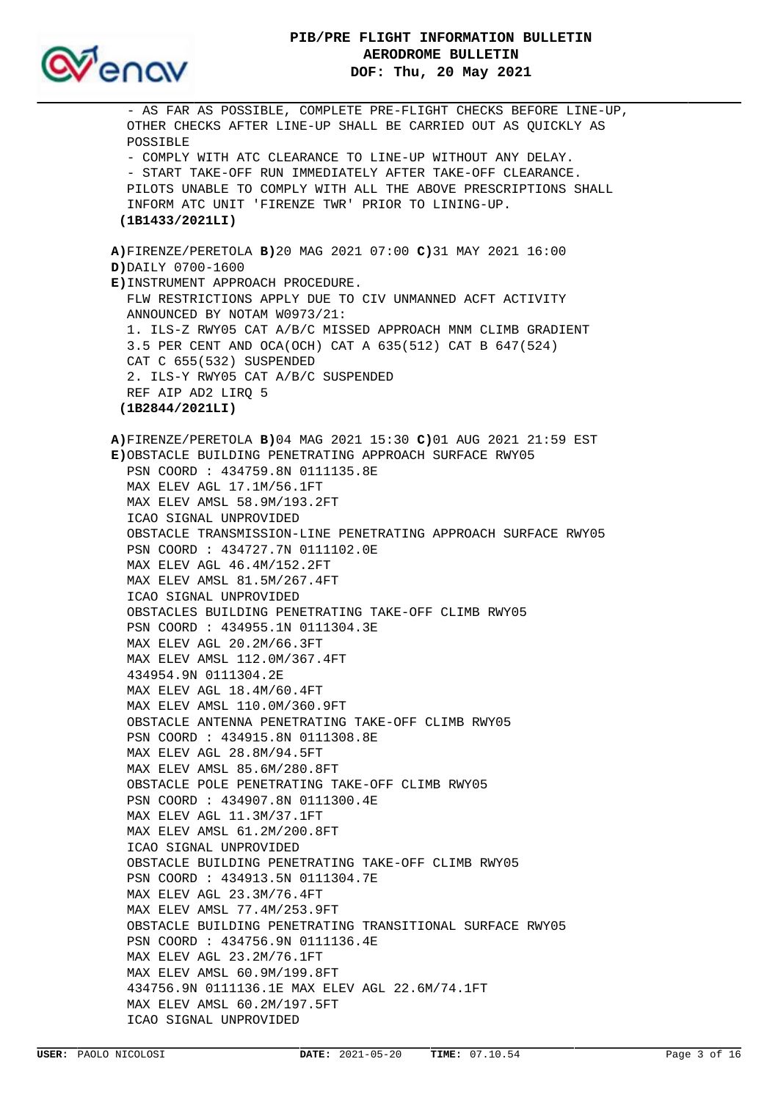

 - AS FAR AS POSSIBLE, COMPLETE PRE-FLIGHT CHECKS BEFORE LINE-UP, OTHER CHECKS AFTER LINE-UP SHALL BE CARRIED OUT AS QUICKLY AS POSSIBLE - COMPLY WITH ATC CLEARANCE TO LINE-UP WITHOUT ANY DELAY. - START TAKE-OFF RUN IMMEDIATELY AFTER TAKE-OFF CLEARANCE. PILOTS UNABLE TO COMPLY WITH ALL THE ABOVE PRESCRIPTIONS SHALL INFORM ATC UNIT 'FIRENZE TWR' PRIOR TO LINING-UP.  **(1B1433/2021LI) A)**FIRENZE/PERETOLA **B)**20 MAG 2021 07:00 **C)**31 MAY 2021 16:00 **D)**DAILY 0700-1600 **E)**INSTRUMENT APPROACH PROCEDURE. FLW RESTRICTIONS APPLY DUE TO CIV UNMANNED ACFT ACTIVITY ANNOUNCED BY NOTAM W0973/21: 1. ILS-Z RWY05 CAT A/B/C MISSED APPROACH MNM CLIMB GRADIENT 3.5 PER CENT AND OCA(OCH) CAT A 635(512) CAT B 647(524) CAT C 655(532) SUSPENDED 2. ILS-Y RWY05 CAT A/B/C SUSPENDED REF AIP AD2 LIRQ 5  **(1B2844/2021LI) A)**FIRENZE/PERETOLA **B)**04 MAG 2021 15:30 **C)**01 AUG 2021 21:59 EST **E)**OBSTACLE BUILDING PENETRATING APPROACH SURFACE RWY05 PSN COORD : 434759.8N 0111135.8E MAX ELEV AGL 17.1M/56.1FT MAX ELEV AMSL 58.9M/193.2FT ICAO SIGNAL UNPROVIDED OBSTACLE TRANSMISSION-LINE PENETRATING APPROACH SURFACE RWY05 PSN COORD : 434727.7N 0111102.0E MAX ELEV AGL 46.4M/152.2FT MAX ELEV AMSL 81.5M/267.4FT ICAO SIGNAL UNPROVIDED OBSTACLES BUILDING PENETRATING TAKE-OFF CLIMB RWY05 PSN COORD : 434955.1N 0111304.3E MAX ELEV AGL 20.2M/66.3FT MAX ELEV AMSL 112.0M/367.4FT 434954.9N 0111304.2E MAX ELEV AGL 18.4M/60.4FT MAX ELEV AMSL 110.0M/360.9FT OBSTACLE ANTENNA PENETRATING TAKE-OFF CLIMB RWY05 PSN COORD : 434915.8N 0111308.8E MAX ELEV AGL 28.8M/94.5FT MAX ELEV AMSL 85.6M/280.8FT OBSTACLE POLE PENETRATING TAKE-OFF CLIMB RWY05 PSN COORD : 434907.8N 0111300.4E MAX ELEV AGL 11.3M/37.1FT MAX ELEV AMSL 61.2M/200.8FT ICAO SIGNAL UNPROVIDED OBSTACLE BUILDING PENETRATING TAKE-OFF CLIMB RWY05 PSN COORD : 434913.5N 0111304.7E MAX ELEV AGL 23.3M/76.4FT MAX ELEV AMSL 77.4M/253.9FT OBSTACLE BUILDING PENETRATING TRANSITIONAL SURFACE RWY05 PSN COORD : 434756.9N 0111136.4E MAX ELEV AGL 23.2M/76.1FT MAX ELEV AMSL 60.9M/199.8FT 434756.9N 0111136.1E MAX ELEV AGL 22.6M/74.1FT MAX ELEV AMSL 60.2M/197.5FT ICAO SIGNAL UNPROVIDED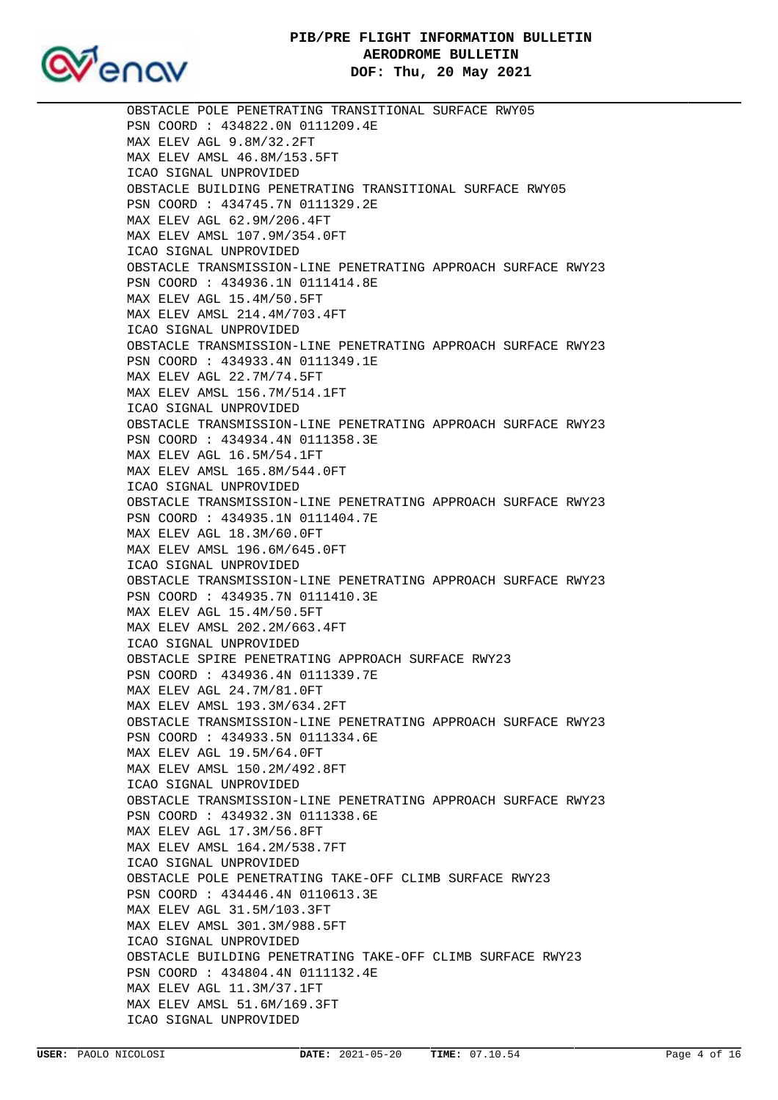# **PIB/PRE FLIGHT INFORMATION BULLETIN AERODROME BULLETIN DOF: Thu, 20 May 2021**



 OBSTACLE POLE PENETRATING TRANSITIONAL SURFACE RWY05 PSN COORD : 434822.0N 0111209.4E MAX ELEV AGL 9.8M/32.2FT MAX ELEV AMSL 46.8M/153.5FT ICAO SIGNAL UNPROVIDED OBSTACLE BUILDING PENETRATING TRANSITIONAL SURFACE RWY05 PSN COORD : 434745.7N 0111329.2E MAX ELEV AGL 62.9M/206.4FT MAX ELEV AMSL 107.9M/354.0FT ICAO SIGNAL UNPROVIDED OBSTACLE TRANSMISSION-LINE PENETRATING APPROACH SURFACE RWY23 PSN COORD : 434936.1N 0111414.8E MAX ELEV AGL 15.4M/50.5FT MAX ELEV AMSL 214.4M/703.4FT ICAO SIGNAL UNPROVIDED OBSTACLE TRANSMISSION-LINE PENETRATING APPROACH SURFACE RWY23 PSN COORD : 434933.4N 0111349.1E MAX ELEV AGL 22.7M/74.5FT MAX ELEV AMSL 156.7M/514.1FT ICAO SIGNAL UNPROVIDED OBSTACLE TRANSMISSION-LINE PENETRATING APPROACH SURFACE RWY23 PSN COORD : 434934.4N 0111358.3E MAX ELEV AGL 16.5M/54.1FT MAX ELEV AMSL 165.8M/544.0FT ICAO SIGNAL UNPROVIDED OBSTACLE TRANSMISSION-LINE PENETRATING APPROACH SURFACE RWY23 PSN COORD : 434935.1N 0111404.7E MAX ELEV AGL 18.3M/60.0FT MAX ELEV AMSL 196.6M/645.0FT ICAO SIGNAL UNPROVIDED OBSTACLE TRANSMISSION-LINE PENETRATING APPROACH SURFACE RWY23 PSN COORD : 434935.7N 0111410.3E MAX ELEV AGL 15.4M/50.5FT MAX ELEV AMSL 202.2M/663.4FT ICAO SIGNAL UNPROVIDED OBSTACLE SPIRE PENETRATING APPROACH SURFACE RWY23 PSN COORD : 434936.4N 0111339.7E MAX ELEV AGL 24.7M/81.0FT MAX ELEV AMSL 193.3M/634.2FT OBSTACLE TRANSMISSION-LINE PENETRATING APPROACH SURFACE RWY23 PSN COORD : 434933.5N 0111334.6E MAX ELEV AGL 19.5M/64.0FT MAX ELEV AMSL 150.2M/492.8FT ICAO SIGNAL UNPROVIDED OBSTACLE TRANSMISSION-LINE PENETRATING APPROACH SURFACE RWY23 PSN COORD : 434932.3N 0111338.6E MAX ELEV AGL 17.3M/56.8FT MAX ELEV AMSL 164.2M/538.7FT ICAO SIGNAL UNPROVIDED OBSTACLE POLE PENETRATING TAKE-OFF CLIMB SURFACE RWY23 PSN COORD : 434446.4N 0110613.3E MAX ELEV AGL 31.5M/103.3FT MAX ELEV AMSL 301.3M/988.5FT ICAO SIGNAL UNPROVIDED OBSTACLE BUILDING PENETRATING TAKE-OFF CLIMB SURFACE RWY23 PSN COORD : 434804.4N 0111132.4E MAX ELEV AGL 11.3M/37.1FT MAX ELEV AMSL 51.6M/169.3FT ICAO SIGNAL UNPROVIDED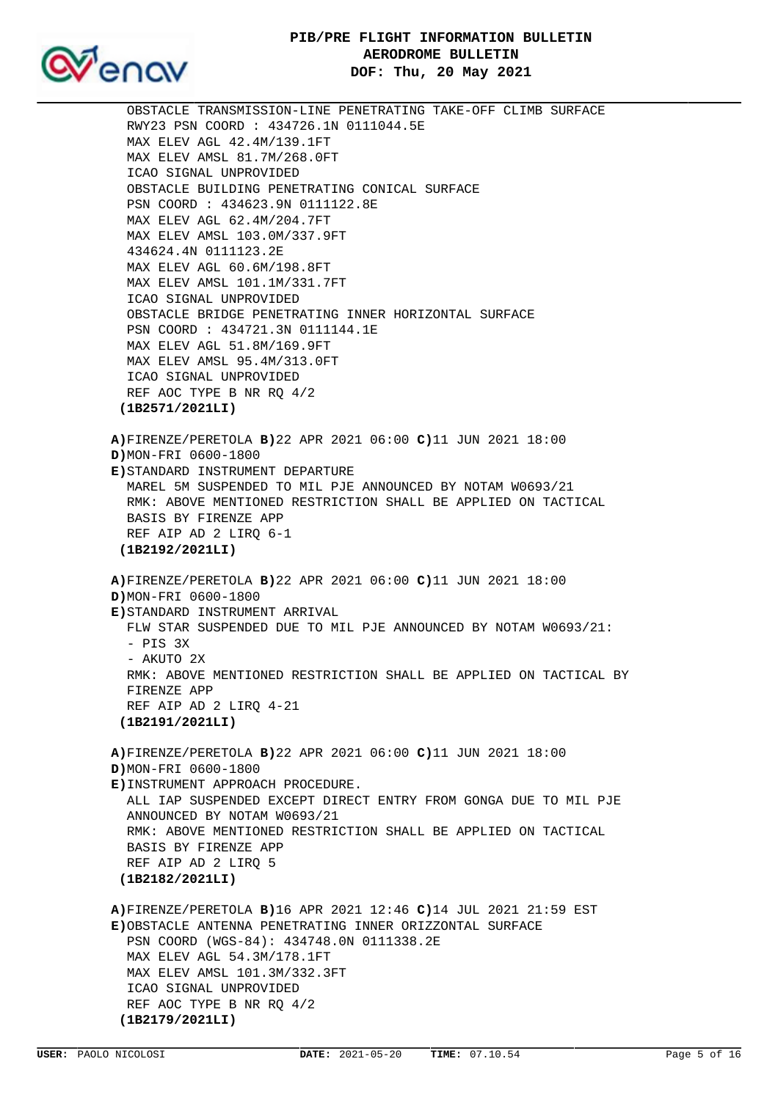# **PIB/PRE FLIGHT INFORMATION BULLETIN AERODROME BULLETIN DOF: Thu, 20 May 2021**



 OBSTACLE TRANSMISSION-LINE PENETRATING TAKE-OFF CLIMB SURFACE RWY23 PSN COORD : 434726.1N 0111044.5E MAX ELEV AGL 42.4M/139.1FT MAX ELEV AMSL 81.7M/268.0FT ICAO SIGNAL UNPROVIDED OBSTACLE BUILDING PENETRATING CONICAL SURFACE PSN COORD : 434623.9N 0111122.8E MAX ELEV AGL 62.4M/204.7FT MAX ELEV AMSL 103.0M/337.9FT 434624.4N 0111123.2E MAX ELEV AGL 60.6M/198.8FT MAX ELEV AMSL 101.1M/331.7FT ICAO SIGNAL UNPROVIDED OBSTACLE BRIDGE PENETRATING INNER HORIZONTAL SURFACE PSN COORD : 434721.3N 0111144.1E MAX ELEV AGL 51.8M/169.9FT MAX ELEV AMSL 95.4M/313.0FT ICAO SIGNAL UNPROVIDED REF AOC TYPE B NR RQ 4/2  **(1B2571/2021LI) A)**FIRENZE/PERETOLA **B)**22 APR 2021 06:00 **C)**11 JUN 2021 18:00 **D)**MON-FRI 0600-1800 **E)**STANDARD INSTRUMENT DEPARTURE MAREL 5M SUSPENDED TO MIL PJE ANNOUNCED BY NOTAM W0693/21 RMK: ABOVE MENTIONED RESTRICTION SHALL BE APPLIED ON TACTICAL BASIS BY FIRENZE APP REF AIP AD 2 LIRQ 6-1  **(1B2192/2021LI) A)**FIRENZE/PERETOLA **B)**22 APR 2021 06:00 **C)**11 JUN 2021 18:00 **D)**MON-FRI 0600-1800 **E)**STANDARD INSTRUMENT ARRIVAL FLW STAR SUSPENDED DUE TO MIL PJE ANNOUNCED BY NOTAM W0693/21: - PIS 3X - AKUTO 2X RMK: ABOVE MENTIONED RESTRICTION SHALL BE APPLIED ON TACTICAL BY FIRENZE APP REF AIP AD 2 LIRQ 4-21  **(1B2191/2021LI) A)**FIRENZE/PERETOLA **B)**22 APR 2021 06:00 **C)**11 JUN 2021 18:00 **D)**MON-FRI 0600-1800 **E)**INSTRUMENT APPROACH PROCEDURE. ALL IAP SUSPENDED EXCEPT DIRECT ENTRY FROM GONGA DUE TO MIL PJE ANNOUNCED BY NOTAM W0693/21 RMK: ABOVE MENTIONED RESTRICTION SHALL BE APPLIED ON TACTICAL BASIS BY FIRENZE APP REF AIP AD 2 LIRQ 5  **(1B2182/2021LI) A)**FIRENZE/PERETOLA **B)**16 APR 2021 12:46 **C)**14 JUL 2021 21:59 EST **E)**OBSTACLE ANTENNA PENETRATING INNER ORIZZONTAL SURFACE PSN COORD (WGS-84): 434748.0N 0111338.2E MAX ELEV AGL 54.3M/178.1FT MAX ELEV AMSL 101.3M/332.3FT ICAO SIGNAL UNPROVIDED REF AOC TYPE B NR RQ 4/2

```
 (1B2179/2021LI)
```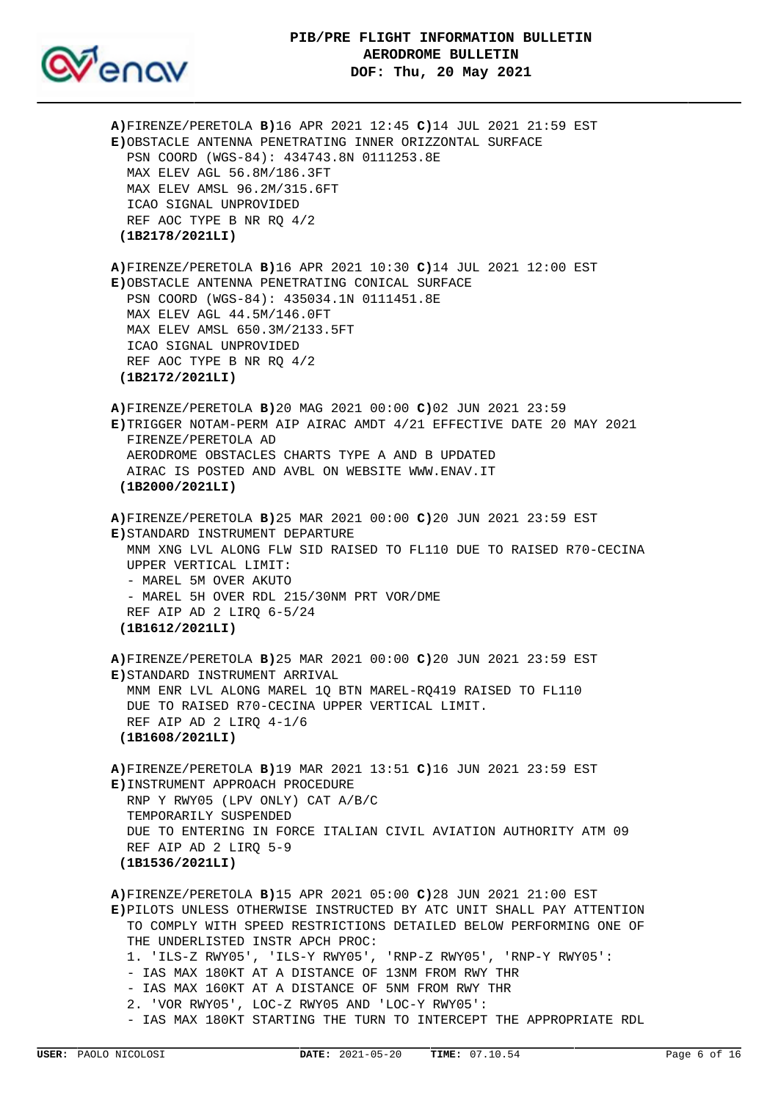



**A)**FIRENZE/PERETOLA **B)**16 APR 2021 12:45 **C)**14 JUL 2021 21:59 EST **E)**OBSTACLE ANTENNA PENETRATING INNER ORIZZONTAL SURFACE PSN COORD (WGS-84): 434743.8N 0111253.8E MAX ELEV AGL 56.8M/186.3FT MAX ELEV AMSL 96.2M/315.6FT ICAO SIGNAL UNPROVIDED REF AOC TYPE B NR RQ 4/2  **(1B2178/2021LI) A)**FIRENZE/PERETOLA **B)**16 APR 2021 10:30 **C)**14 JUL 2021 12:00 EST **E)**OBSTACLE ANTENNA PENETRATING CONICAL SURFACE PSN COORD (WGS-84): 435034.1N 0111451.8E MAX ELEV AGL 44.5M/146.0FT MAX ELEV AMSL 650.3M/2133.5FT ICAO SIGNAL UNPROVIDED REF AOC TYPE B NR RQ 4/2  **(1B2172/2021LI) A)**FIRENZE/PERETOLA **B)**20 MAG 2021 00:00 **C)**02 JUN 2021 23:59 **E)**TRIGGER NOTAM-PERM AIP AIRAC AMDT 4/21 EFFECTIVE DATE 20 MAY 2021 FIRENZE/PERETOLA AD AERODROME OBSTACLES CHARTS TYPE A AND B UPDATED AIRAC IS POSTED AND AVBL ON WEBSITE WWW.ENAV.IT  **(1B2000/2021LI) A)**FIRENZE/PERETOLA **B)**25 MAR 2021 00:00 **C)**20 JUN 2021 23:59 EST **E)**STANDARD INSTRUMENT DEPARTURE MNM XNG LVL ALONG FLW SID RAISED TO FL110 DUE TO RAISED R70-CECINA UPPER VERTICAL LIMIT: - MAREL 5M OVER AKUTO - MAREL 5H OVER RDL 215/30NM PRT VOR/DME REF AIP AD 2 LIRQ 6-5/24  **(1B1612/2021LI) A)**FIRENZE/PERETOLA **B)**25 MAR 2021 00:00 **C)**20 JUN 2021 23:59 EST **E)**STANDARD INSTRUMENT ARRIVAL MNM ENR LVL ALONG MAREL 1Q BTN MAREL-RQ419 RAISED TO FL110 DUE TO RAISED R70-CECINA UPPER VERTICAL LIMIT. REF AIP AD 2 LIRQ 4-1/6  **(1B1608/2021LI) A)**FIRENZE/PERETOLA **B)**19 MAR 2021 13:51 **C)**16 JUN 2021 23:59 EST **E)**INSTRUMENT APPROACH PROCEDURE RNP Y RWY05 (LPV ONLY) CAT A/B/C TEMPORARILY SUSPENDED DUE TO ENTERING IN FORCE ITALIAN CIVIL AVIATION AUTHORITY ATM 09 REF AIP AD 2 LIRQ 5-9  **(1B1536/2021LI) A)**FIRENZE/PERETOLA **B)**15 APR 2021 05:00 **C)**28 JUN 2021 21:00 EST **E)**PILOTS UNLESS OTHERWISE INSTRUCTED BY ATC UNIT SHALL PAY ATTENTION TO COMPLY WITH SPEED RESTRICTIONS DETAILED BELOW PERFORMING ONE OF THE UNDERLISTED INSTR APCH PROC: 1. 'ILS-Z RWY05', 'ILS-Y RWY05', 'RNP-Z RWY05', 'RNP-Y RWY05': - IAS MAX 180KT AT A DISTANCE OF 13NM FROM RWY THR - IAS MAX 160KT AT A DISTANCE OF 5NM FROM RWY THR 2. 'VOR RWY05', LOC-Z RWY05 AND 'LOC-Y RWY05': - IAS MAX 180KT STARTING THE TURN TO INTERCEPT THE APPROPRIATE RDL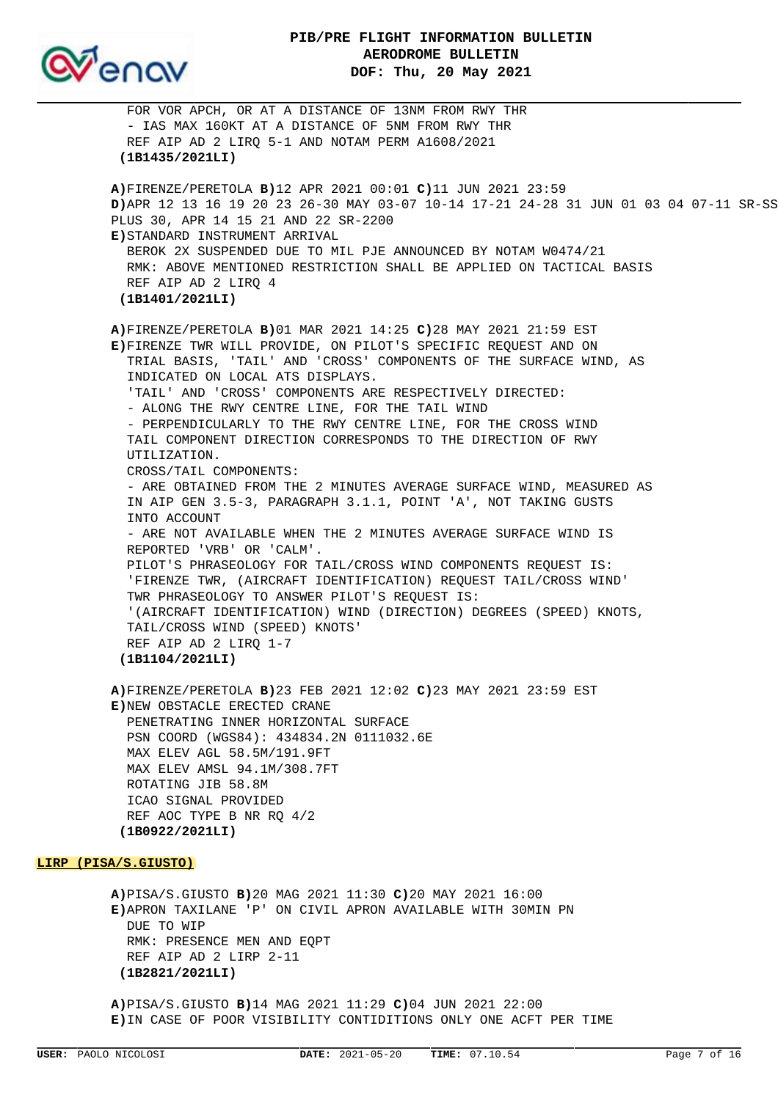

 FOR VOR APCH, OR AT A DISTANCE OF 13NM FROM RWY THR - IAS MAX 160KT AT A DISTANCE OF 5NM FROM RWY THR REF AIP AD 2 LIRQ 5-1 AND NOTAM PERM A1608/2021  **(1B1435/2021LI) A)**FIRENZE/PERETOLA **B)**12 APR 2021 00:01 **C)**11 JUN 2021 23:59 **D)**APR 12 13 16 19 20 23 26-30 MAY 03-07 10-14 17-21 24-28 31 JUN 01 03 04 07-11 SR-SS PLUS 30, APR 14 15 21 AND 22 SR-2200 **E)**STANDARD INSTRUMENT ARRIVAL BEROK 2X SUSPENDED DUE TO MIL PJE ANNOUNCED BY NOTAM W0474/21 RMK: ABOVE MENTIONED RESTRICTION SHALL BE APPLIED ON TACTICAL BASIS REF AIP AD 2 LIRQ 4  **(1B1401/2021LI) A)**FIRENZE/PERETOLA **B)**01 MAR 2021 14:25 **C)**28 MAY 2021 21:59 EST **E)**FIRENZE TWR WILL PROVIDE, ON PILOT'S SPECIFIC REQUEST AND ON TRIAL BASIS, 'TAIL' AND 'CROSS' COMPONENTS OF THE SURFACE WIND, AS INDICATED ON LOCAL ATS DISPLAYS. 'TAIL' AND 'CROSS' COMPONENTS ARE RESPECTIVELY DIRECTED: - ALONG THE RWY CENTRE LINE, FOR THE TAIL WIND - PERPENDICULARLY TO THE RWY CENTRE LINE, FOR THE CROSS WIND TAIL COMPONENT DIRECTION CORRESPONDS TO THE DIRECTION OF RWY UTILIZATION. CROSS/TAIL COMPONENTS: - ARE OBTAINED FROM THE 2 MINUTES AVERAGE SURFACE WIND, MEASURED AS IN AIP GEN 3.5-3, PARAGRAPH 3.1.1, POINT 'A', NOT TAKING GUSTS INTO ACCOUNT - ARE NOT AVAILABLE WHEN THE 2 MINUTES AVERAGE SURFACE WIND IS REPORTED 'VRB' OR 'CALM'. PILOT'S PHRASEOLOGY FOR TAIL/CROSS WIND COMPONENTS REQUEST IS: 'FIRENZE TWR, (AIRCRAFT IDENTIFICATION) REQUEST TAIL/CROSS WIND' TWR PHRASEOLOGY TO ANSWER PILOT'S REQUEST IS: '(AIRCRAFT IDENTIFICATION) WIND (DIRECTION) DEGREES (SPEED) KNOTS, TAIL/CROSS WIND (SPEED) KNOTS' REF AIP AD 2 LIRQ 1-7  **(1B1104/2021LI) A)**FIRENZE/PERETOLA **B)**23 FEB 2021 12:02 **C)**23 MAY 2021 23:59 EST **E)**NEW OBSTACLE ERECTED CRANE PENETRATING INNER HORIZONTAL SURFACE PSN COORD (WGS84): 434834.2N 0111032.6E MAX ELEV AGL 58.5M/191.9FT MAX ELEV AMSL 94.1M/308.7FT ROTATING JIB 58.8M ICAO SIGNAL PROVIDED REF AOC TYPE B NR RQ 4/2  **(1B0922/2021LI) LIRP (PISA/S.GIUSTO)**

# **A)**PISA/S.GIUSTO **B)**20 MAG 2021 11:30 **C)**20 MAY 2021 16:00 **E)**APRON TAXILANE 'P' ON CIVIL APRON AVAILABLE WITH 30MIN PN DUE TO WIP RMK: PRESENCE MEN AND EQPT REF AIP AD 2 LIRP 2-11  **(1B2821/2021LI)**

**A)**PISA/S.GIUSTO **B)**14 MAG 2021 11:29 **C)**04 JUN 2021 22:00 **E)**IN CASE OF POOR VISIBILITY CONTIDITIONS ONLY ONE ACFT PER TIME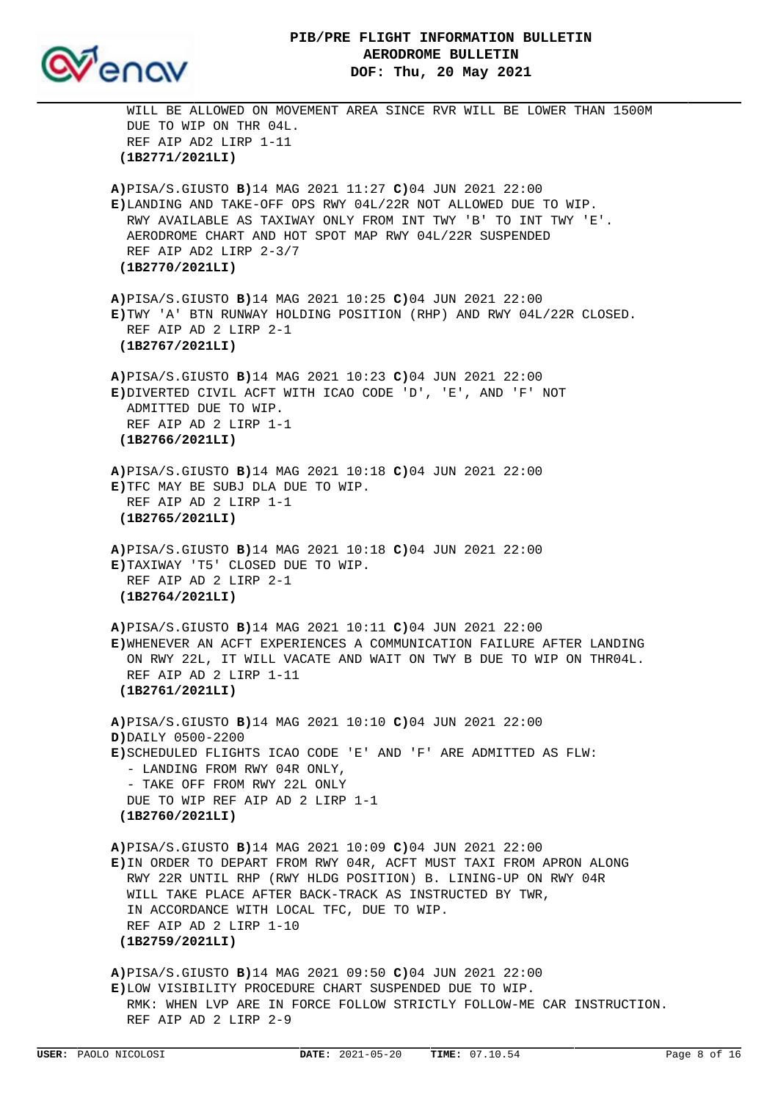

 WILL BE ALLOWED ON MOVEMENT AREA SINCE RVR WILL BE LOWER THAN 1500M DUE TO WIP ON THR 04L. REF AIP AD2 LIRP 1-11  **(1B2771/2021LI) A)**PISA/S.GIUSTO **B)**14 MAG 2021 11:27 **C)**04 JUN 2021 22:00 **E)**LANDING AND TAKE-OFF OPS RWY 04L/22R NOT ALLOWED DUE TO WIP. RWY AVAILABLE AS TAXIWAY ONLY FROM INT TWY 'B' TO INT TWY 'E'. AERODROME CHART AND HOT SPOT MAP RWY 04L/22R SUSPENDED REF AIP AD2 LIRP 2-3/7  **(1B2770/2021LI) A)**PISA/S.GIUSTO **B)**14 MAG 2021 10:25 **C)**04 JUN 2021 22:00 **E)**TWY 'A' BTN RUNWAY HOLDING POSITION (RHP) AND RWY 04L/22R CLOSED. REF AIP AD 2 LIRP 2-1  **(1B2767/2021LI) A)**PISA/S.GIUSTO **B)**14 MAG 2021 10:23 **C)**04 JUN 2021 22:00 **E)**DIVERTED CIVIL ACFT WITH ICAO CODE 'D', 'E', AND 'F' NOT ADMITTED DUE TO WIP. REF AIP AD 2 LIRP 1-1  **(1B2766/2021LI) A)**PISA/S.GIUSTO **B)**14 MAG 2021 10:18 **C)**04 JUN 2021 22:00 **E)**TFC MAY BE SUBJ DLA DUE TO WIP. REF AIP AD 2 LIRP 1-1  **(1B2765/2021LI) A)**PISA/S.GIUSTO **B)**14 MAG 2021 10:18 **C)**04 JUN 2021 22:00 **E)**TAXIWAY 'T5' CLOSED DUE TO WIP. REF AIP AD 2 LIRP 2-1  **(1B2764/2021LI) A)**PISA/S.GIUSTO **B)**14 MAG 2021 10:11 **C)**04 JUN 2021 22:00 **E)**WHENEVER AN ACFT EXPERIENCES A COMMUNICATION FAILURE AFTER LANDING ON RWY 22L, IT WILL VACATE AND WAIT ON TWY B DUE TO WIP ON THR04L. REF AIP AD 2 LIRP 1-11  **(1B2761/2021LI) A)**PISA/S.GIUSTO **B)**14 MAG 2021 10:10 **C)**04 JUN 2021 22:00 **D)**DAILY 0500-2200 **E)**SCHEDULED FLIGHTS ICAO CODE 'E' AND 'F' ARE ADMITTED AS FLW: - LANDING FROM RWY 04R ONLY, - TAKE OFF FROM RWY 22L ONLY DUE TO WIP REF AIP AD 2 LIRP 1-1  **(1B2760/2021LI) A)**PISA/S.GIUSTO **B)**14 MAG 2021 10:09 **C)**04 JUN 2021 22:00 **E)**IN ORDER TO DEPART FROM RWY 04R, ACFT MUST TAXI FROM APRON ALONG RWY 22R UNTIL RHP (RWY HLDG POSITION) B. LINING-UP ON RWY 04R WILL TAKE PLACE AFTER BACK-TRACK AS INSTRUCTED BY TWR, IN ACCORDANCE WITH LOCAL TFC, DUE TO WIP. REF AIP AD 2 LIRP 1-10  **(1B2759/2021LI) A)**PISA/S.GIUSTO **B)**14 MAG 2021 09:50 **C)**04 JUN 2021 22:00 **E)**LOW VISIBILITY PROCEDURE CHART SUSPENDED DUE TO WIP. RMK: WHEN LVP ARE IN FORCE FOLLOW STRICTLY FOLLOW-ME CAR INSTRUCTION. REF AIP AD 2 LIRP 2-9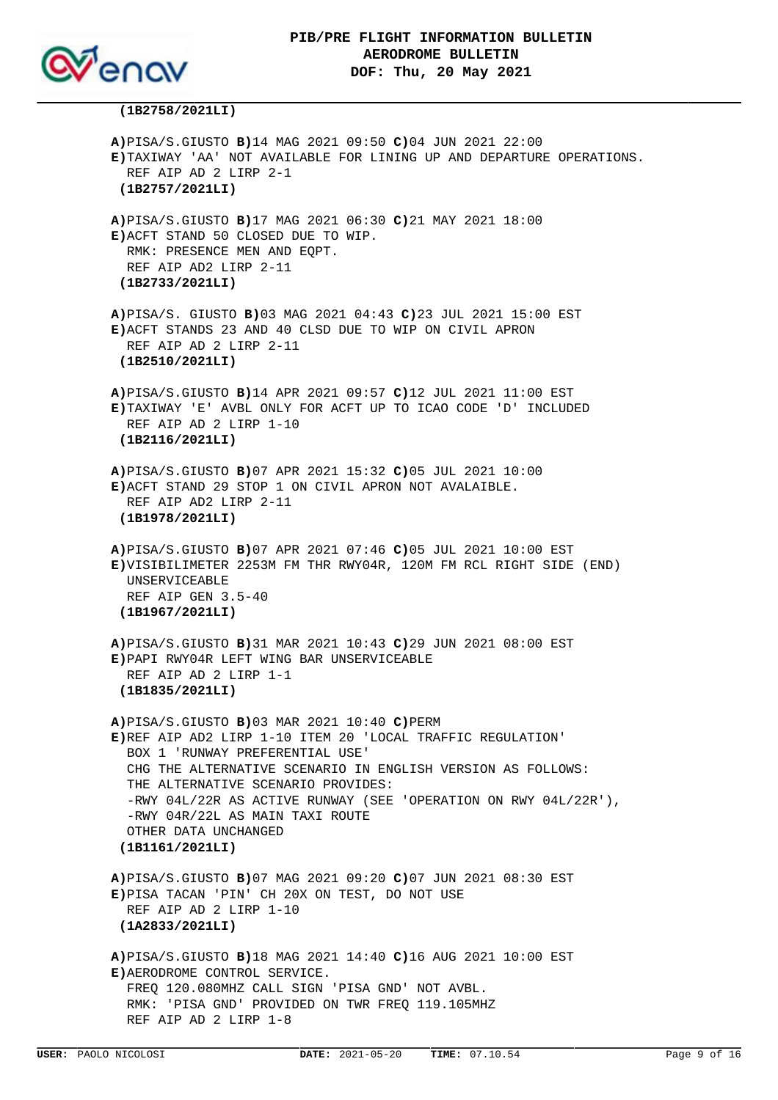

#### **(1B2758/2021LI)**

**A)**PISA/S.GIUSTO **B)**14 MAG 2021 09:50 **C)**04 JUN 2021 22:00 **E)**TAXIWAY 'AA' NOT AVAILABLE FOR LINING UP AND DEPARTURE OPERATIONS. REF AIP AD 2 LIRP 2-1  **(1B2757/2021LI) A)**PISA/S.GIUSTO **B)**17 MAG 2021 06:30 **C)**21 MAY 2021 18:00 **E)**ACFT STAND 50 CLOSED DUE TO WIP. RMK: PRESENCE MEN AND EQPT. REF AIP AD2 LIRP 2-11  **(1B2733/2021LI) A)**PISA/S. GIUSTO **B)**03 MAG 2021 04:43 **C)**23 JUL 2021 15:00 EST **E)**ACFT STANDS 23 AND 40 CLSD DUE TO WIP ON CIVIL APRON REF AIP AD 2 LIRP 2-11  **(1B2510/2021LI) A)**PISA/S.GIUSTO **B)**14 APR 2021 09:57 **C)**12 JUL 2021 11:00 EST **E)**TAXIWAY 'E' AVBL ONLY FOR ACFT UP TO ICAO CODE 'D' INCLUDED REF AIP AD 2 LIRP 1-10  **(1B2116/2021LI) A)**PISA/S.GIUSTO **B)**07 APR 2021 15:32 **C)**05 JUL 2021 10:00 **E)**ACFT STAND 29 STOP 1 ON CIVIL APRON NOT AVALAIBLE. REF AIP AD2 LIRP 2-11  **(1B1978/2021LI) A)**PISA/S.GIUSTO **B)**07 APR 2021 07:46 **C)**05 JUL 2021 10:00 EST **E)**VISIBILIMETER 2253M FM THR RWY04R, 120M FM RCL RIGHT SIDE (END) UNSERVICEABLE REF AIP GEN 3.5-40  **(1B1967/2021LI) A)**PISA/S.GIUSTO **B)**31 MAR 2021 10:43 **C)**29 JUN 2021 08:00 EST **E)**PAPI RWY04R LEFT WING BAR UNSERVICEABLE REF AIP AD 2 LIRP 1-1  **(1B1835/2021LI) A)**PISA/S.GIUSTO **B)**03 MAR 2021 10:40 **C)**PERM **E)**REF AIP AD2 LIRP 1-10 ITEM 20 'LOCAL TRAFFIC REGULATION' BOX 1 'RUNWAY PREFERENTIAL USE' CHG THE ALTERNATIVE SCENARIO IN ENGLISH VERSION AS FOLLOWS: THE ALTERNATIVE SCENARIO PROVIDES: -RWY 04L/22R AS ACTIVE RUNWAY (SEE 'OPERATION ON RWY 04L/22R'), -RWY 04R/22L AS MAIN TAXI ROUTE OTHER DATA UNCHANGED  **(1B1161/2021LI) A)**PISA/S.GIUSTO **B)**07 MAG 2021 09:20 **C)**07 JUN 2021 08:30 EST **E)**PISA TACAN 'PIN' CH 20X ON TEST, DO NOT USE REF AIP AD 2 LIRP 1-10  **(1A2833/2021LI) A)**PISA/S.GIUSTO **B)**18 MAG 2021 14:40 **C)**16 AUG 2021 10:00 EST **E)**AERODROME CONTROL SERVICE. FREQ 120.080MHZ CALL SIGN 'PISA GND' NOT AVBL. RMK: 'PISA GND' PROVIDED ON TWR FREQ 119.105MHZ REF AIP AD 2 LIRP 1-8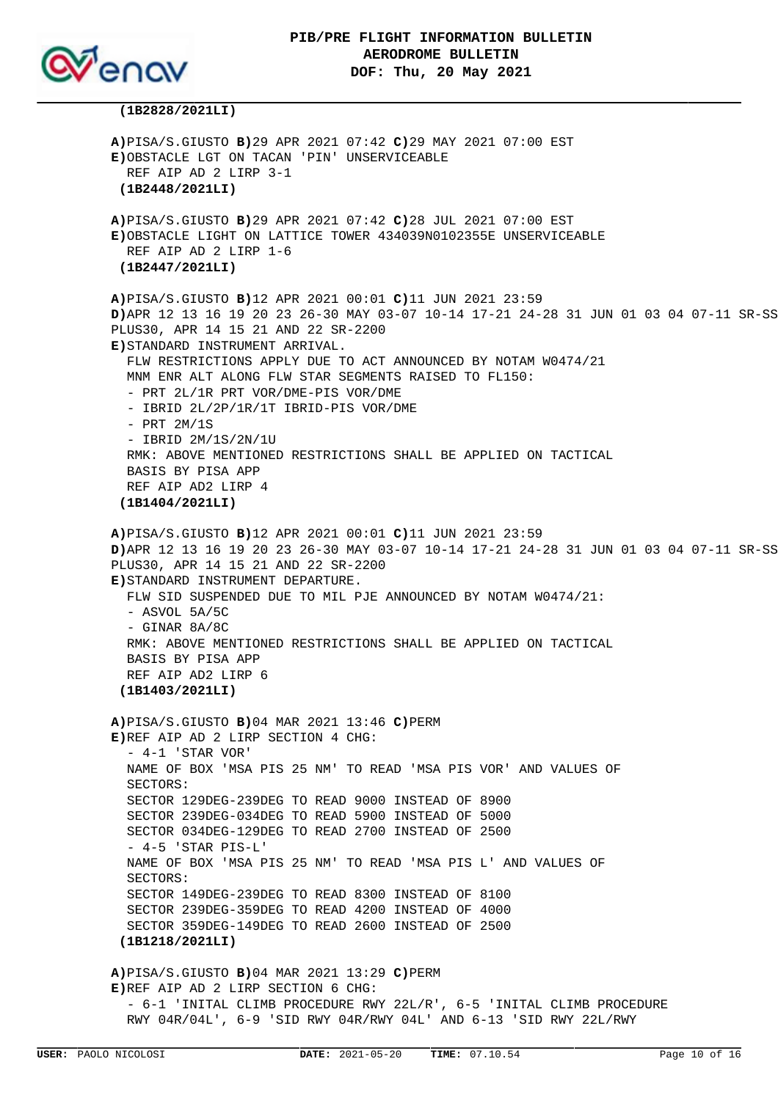

#### **(1B2828/2021LI)**

**A)**PISA/S.GIUSTO **B)**29 APR 2021 07:42 **C)**29 MAY 2021 07:00 EST **E)**OBSTACLE LGT ON TACAN 'PIN' UNSERVICEABLE REF AIP AD 2 LIRP 3-1  **(1B2448/2021LI) A)**PISA/S.GIUSTO **B)**29 APR 2021 07:42 **C)**28 JUL 2021 07:00 EST **E)**OBSTACLE LIGHT ON LATTICE TOWER 434039N0102355E UNSERVICEABLE REF AIP AD 2 LIRP 1-6  **(1B2447/2021LI) A)**PISA/S.GIUSTO **B)**12 APR 2021 00:01 **C)**11 JUN 2021 23:59 **D)**APR 12 13 16 19 20 23 26-30 MAY 03-07 10-14 17-21 24-28 31 JUN 01 03 04 07-11 SR-SS PLUS30, APR 14 15 21 AND 22 SR-2200 **E)**STANDARD INSTRUMENT ARRIVAL. FLW RESTRICTIONS APPLY DUE TO ACT ANNOUNCED BY NOTAM W0474/21 MNM ENR ALT ALONG FLW STAR SEGMENTS RAISED TO FL150: - PRT 2L/1R PRT VOR/DME-PIS VOR/DME - IBRID 2L/2P/1R/1T IBRID-PIS VOR/DME - PRT 2M/1S - IBRID 2M/1S/2N/1U RMK: ABOVE MENTIONED RESTRICTIONS SHALL BE APPLIED ON TACTICAL BASIS BY PISA APP REF AIP AD2 LIRP 4  **(1B1404/2021LI) A)**PISA/S.GIUSTO **B)**12 APR 2021 00:01 **C)**11 JUN 2021 23:59 **D)**APR 12 13 16 19 20 23 26-30 MAY 03-07 10-14 17-21 24-28 31 JUN 01 03 04 07-11 SR-SS PLUS30, APR 14 15 21 AND 22 SR-2200 **E)**STANDARD INSTRUMENT DEPARTURE. FLW SID SUSPENDED DUE TO MIL PJE ANNOUNCED BY NOTAM W0474/21:  $-$  ASVOL 5A/5C - GINAR 8A/8C RMK: ABOVE MENTIONED RESTRICTIONS SHALL BE APPLIED ON TACTICAL BASIS BY PISA APP REF AIP AD2 LIRP 6  **(1B1403/2021LI) A)**PISA/S.GIUSTO **B)**04 MAR 2021 13:46 **C)**PERM **E)**REF AIP AD 2 LIRP SECTION 4 CHG:  $- 4-1$  'STAR VOR' NAME OF BOX 'MSA PIS 25 NM' TO READ 'MSA PIS VOR' AND VALUES OF SECTORS: SECTOR 129DEG-239DEG TO READ 9000 INSTEAD OF 8900 SECTOR 239DEG-034DEG TO READ 5900 INSTEAD OF 5000 SECTOR 034DEG-129DEG TO READ 2700 INSTEAD OF 2500  $-4-5$  'STAR PIS-L' NAME OF BOX 'MSA PIS 25 NM' TO READ 'MSA PIS L' AND VALUES OF SECTORS: SECTOR 149DEG-239DEG TO READ 8300 INSTEAD OF 8100 SECTOR 239DEG-359DEG TO READ 4200 INSTEAD OF 4000 SECTOR 359DEG-149DEG TO READ 2600 INSTEAD OF 2500  **(1B1218/2021LI) A)**PISA/S.GIUSTO **B)**04 MAR 2021 13:29 **C)**PERM **E)**REF AIP AD 2 LIRP SECTION 6 CHG: - 6-1 'INITAL CLIMB PROCEDURE RWY 22L/R', 6-5 'INITAL CLIMB PROCEDURE RWY 04R/04L', 6-9 'SID RWY 04R/RWY 04L' AND 6-13 'SID RWY 22L/RWY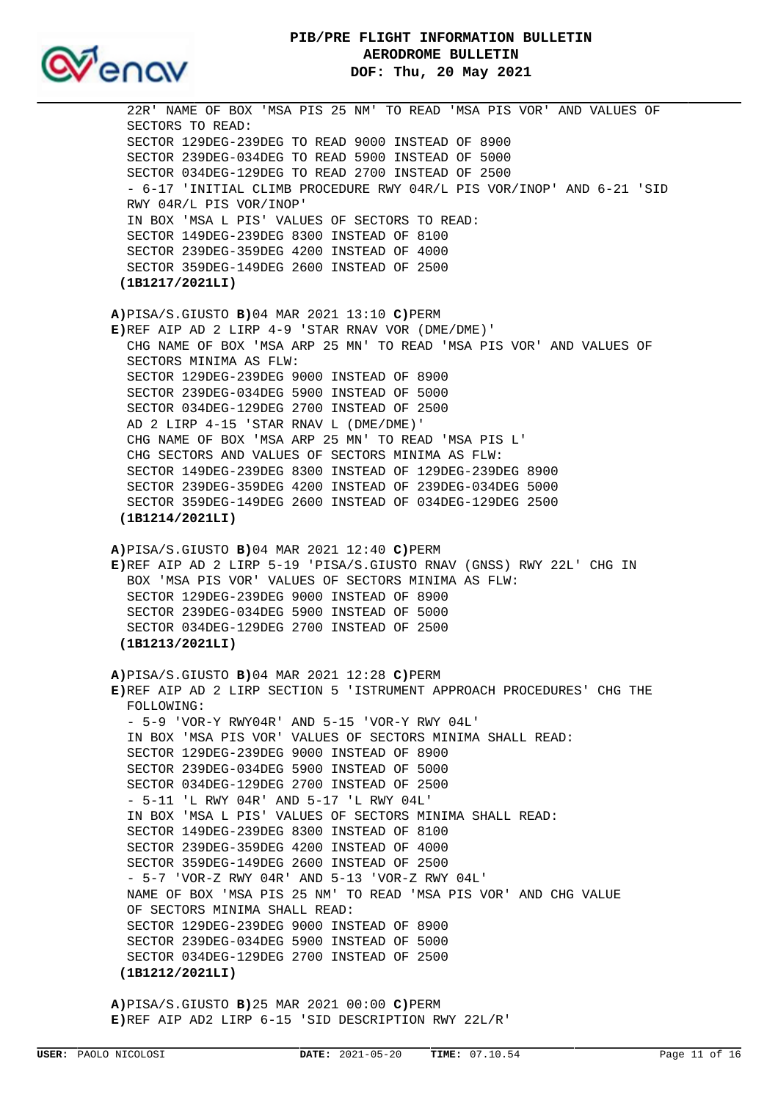SECTOR 129DEG-239DEG 9000 INSTEAD OF 8900 SECTOR 239DEG-034DEG 5900 INSTEAD OF 5000 SECTOR 034DEG-129DEG 2700 INSTEAD OF 2500 AD 2 LIRP 4-15 'STAR RNAV L (DME/DME)' CHG NAME OF BOX 'MSA ARP 25 MN' TO READ 'MSA PIS L' CHG SECTORS AND VALUES OF SECTORS MINIMA AS FLW: SECTOR 149DEG-239DEG 8300 INSTEAD OF 129DEG-239DEG 8900 SECTOR 239DEG-359DEG 4200 INSTEAD OF 239DEG-034DEG 5000 SECTOR 359DEG-149DEG 2600 INSTEAD OF 034DEG-129DEG 2500  **(1B1214/2021LI) A)**PISA/S.GIUSTO **B)**04 MAR 2021 12:40 **C)**PERM **E)**REF AIP AD 2 LIRP 5-19 'PISA/S.GIUSTO RNAV (GNSS) RWY 22L' CHG IN BOX 'MSA PIS VOR' VALUES OF SECTORS MINIMA AS FLW: SECTOR 129DEG-239DEG 9000 INSTEAD OF 8900 SECTOR 239DEG-034DEG 5900 INSTEAD OF 5000 SECTOR 034DEG-129DEG 2700 INSTEAD OF 2500  **(1B1213/2021LI) A)**PISA/S.GIUSTO **B)**04 MAR 2021 12:28 **C)**PERM **E)**REF AIP AD 2 LIRP SECTION 5 'ISTRUMENT APPROACH PROCEDURES' CHG THE FOLLOWING: - 5-9 'VOR-Y RWY04R' AND 5-15 'VOR-Y RWY 04L' IN BOX 'MSA PIS VOR' VALUES OF SECTORS MINIMA SHALL READ: SECTOR 129DEG-239DEG 9000 INSTEAD OF 8900 SECTOR 239DEG-034DEG 5900 INSTEAD OF 5000 SECTOR 034DEG-129DEG 2700 INSTEAD OF 2500 - 5-11 'L RWY 04R' AND 5-17 'L RWY 04L' IN BOX 'MSA L PIS' VALUES OF SECTORS MINIMA SHALL READ: SECTOR 149DEG-239DEG 8300 INSTEAD OF 8100 SECTOR 239DEG-359DEG 4200 INSTEAD OF 4000 SECTOR 359DEG-149DEG 2600 INSTEAD OF 2500 - 5-7 'VOR-Z RWY 04R' AND 5-13 'VOR-Z RWY 04L' NAME OF BOX 'MSA PIS 25 NM' TO READ 'MSA PIS VOR' AND CHG VALUE OF SECTORS MINIMA SHALL READ: SECTOR 129DEG-239DEG 9000 INSTEAD OF 8900 SECTOR 239DEG-034DEG 5900 INSTEAD OF 5000 SECTOR 034DEG-129DEG 2700 INSTEAD OF 2500  **(1B1212/2021LI)**

**A)**PISA/S.GIUSTO **B)**25 MAR 2021 00:00 **C)**PERM

**E)**REF AIP AD2 LIRP 6-15 'SID DESCRIPTION RWY 22L/R'

 - 6-17 'INITIAL CLIMB PROCEDURE RWY 04R/L PIS VOR/INOP' AND 6-21 'SID RWY 04R/L PIS VOR/INOP' IN BOX 'MSA L PIS' VALUES OF SECTORS TO READ: SECTOR 149DEG-239DEG 8300 INSTEAD OF 8100 SECTOR 239DEG-359DEG 4200 INSTEAD OF 4000 SECTOR 359DEG-149DEG 2600 INSTEAD OF 2500  **(1B1217/2021LI) A)**PISA/S.GIUSTO **B)**04 MAR 2021 13:10 **C)**PERM **E)**REF AIP AD 2 LIRP 4-9 'STAR RNAV VOR (DME/DME)' CHG NAME OF BOX 'MSA ARP 25 MN' TO READ 'MSA PIS VOR' AND VALUES OF SECTORS MINIMA AS FLW:

**PIB/PRE FLIGHT INFORMATION BULLETIN**

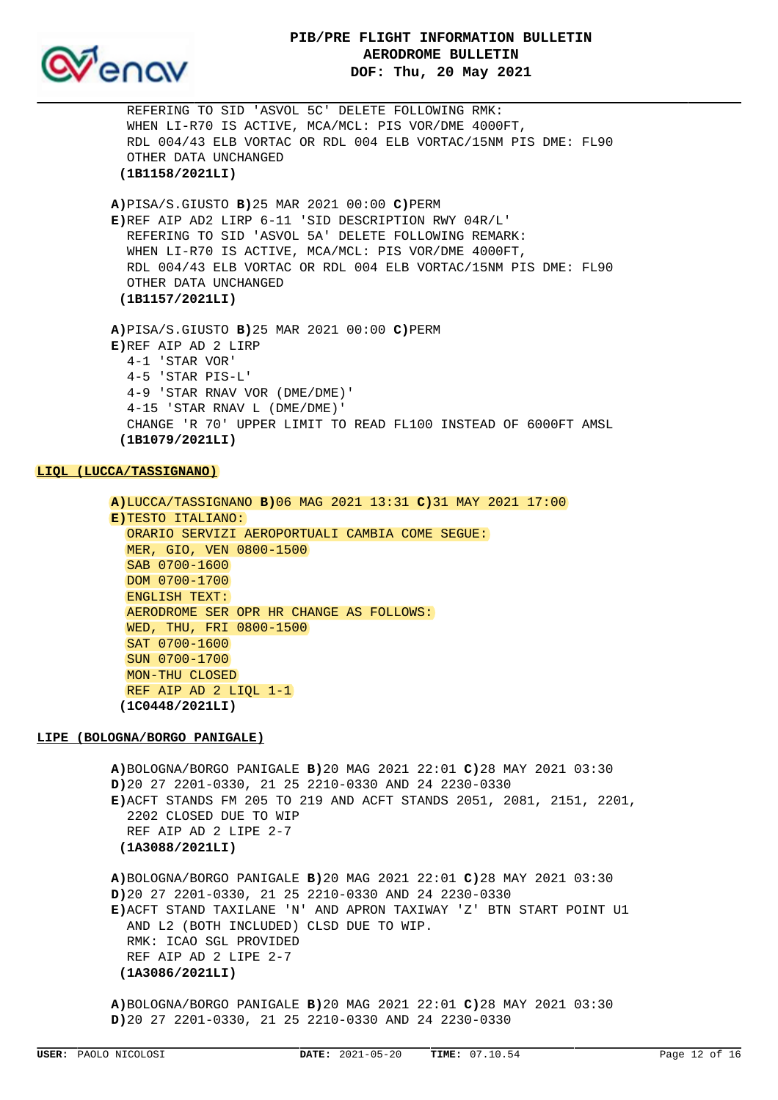

 REFERING TO SID 'ASVOL 5C' DELETE FOLLOWING RMK: WHEN LI-R70 IS ACTIVE, MCA/MCL: PIS VOR/DME 4000FT, RDL 004/43 ELB VORTAC OR RDL 004 ELB VORTAC/15NM PIS DME: FL90 OTHER DATA UNCHANGED  **(1B1158/2021LI) A)**PISA/S.GIUSTO **B)**25 MAR 2021 00:00 **C)**PERM **E)**REF AIP AD2 LIRP 6-11 'SID DESCRIPTION RWY 04R/L' REFERING TO SID 'ASVOL 5A' DELETE FOLLOWING REMARK: WHEN LI-R70 IS ACTIVE, MCA/MCL: PIS VOR/DME 4000FT, RDL 004/43 ELB VORTAC OR RDL 004 ELB VORTAC/15NM PIS DME: FL90 OTHER DATA UNCHANGED  **(1B1157/2021LI) A)**PISA/S.GIUSTO **B)**25 MAR 2021 00:00 **C)**PERM **E)**REF AIP AD 2 LIRP 4-1 'STAR VOR' 4-5 'STAR PIS-L' 4-9 'STAR RNAV VOR (DME/DME)' 4-15 'STAR RNAV L (DME/DME)' CHANGE 'R 70' UPPER LIMIT TO READ FL100 INSTEAD OF 6000FT AMSL  **(1B1079/2021LI)**

### **LIQL (LUCCA/TASSIGNANO)**

**A)**LUCCA/TASSIGNANO **B)**06 MAG 2021 13:31 **C)**31 MAY 2021 17:00 **E)**TESTO ITALIANO: ORARIO SERVIZI AEROPORTUALI CAMBIA COME SEGUE: MER, GIO, VEN 0800-1500 SAB 0700-1600 DOM 0700-1700 ENGLISH TEXT: AERODROME SER OPR HR CHANGE AS FOLLOWS: WED, THU, FRI 0800-1500 SAT 0700-1600 SUN 0700-1700 MON-THU CLOSED REF AIP AD 2 LIQL 1-1  **(1C0448/2021LI)**

#### **LIPE (BOLOGNA/BORGO PANIGALE)**

**A)**BOLOGNA/BORGO PANIGALE **B)**20 MAG 2021 22:01 **C)**28 MAY 2021 03:30 **D)**20 27 2201-0330, 21 25 2210-0330 AND 24 2230-0330 **E)**ACFT STANDS FM 205 TO 219 AND ACFT STANDS 2051, 2081, 2151, 2201, 2202 CLOSED DUE TO WIP REF AIP AD 2 LIPE 2-7  **(1A3088/2021LI)**

**A)**BOLOGNA/BORGO PANIGALE **B)**20 MAG 2021 22:01 **C)**28 MAY 2021 03:30 **D)**20 27 2201-0330, 21 25 2210-0330 AND 24 2230-0330 **E)**ACFT STAND TAXILANE 'N' AND APRON TAXIWAY 'Z' BTN START POINT U1 AND L2 (BOTH INCLUDED) CLSD DUE TO WIP. RMK: ICAO SGL PROVIDED REF AIP AD 2 LIPE 2-7  **(1A3086/2021LI)**

**A)**BOLOGNA/BORGO PANIGALE **B)**20 MAG 2021 22:01 **C)**28 MAY 2021 03:30 **D)**20 27 2201-0330, 21 25 2210-0330 AND 24 2230-0330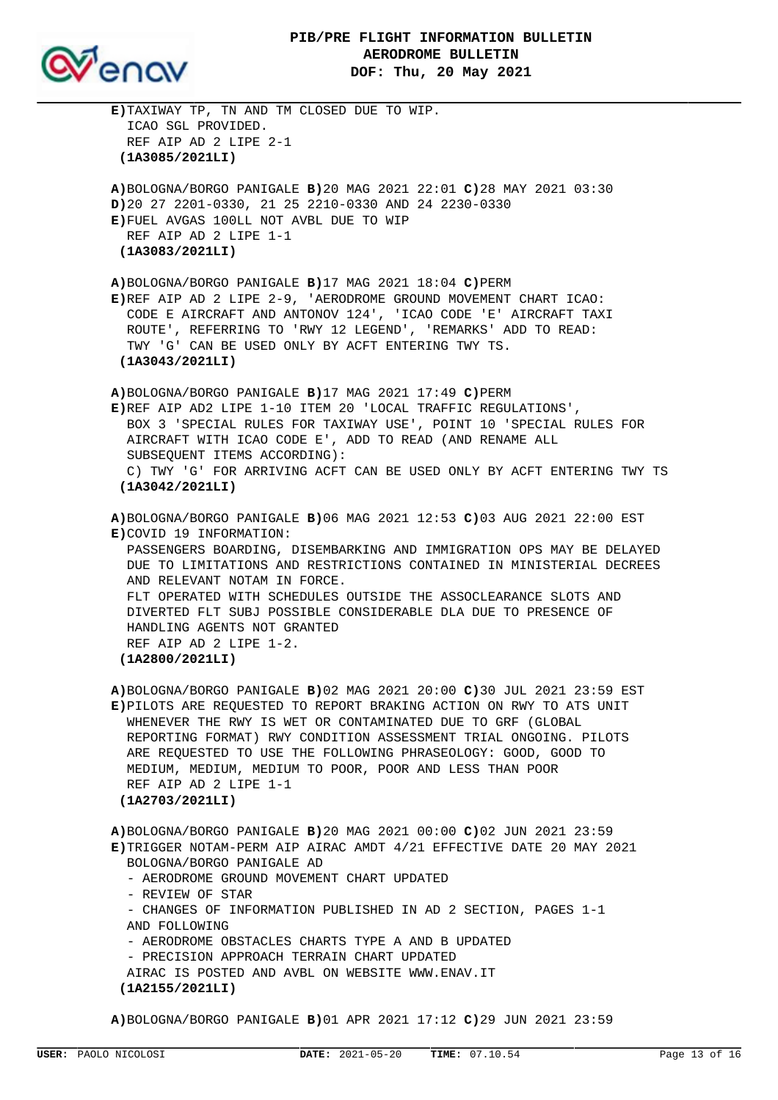

| E)TAXIWAY TP, TN AND TM CLOSED DUE TO WIP.<br>ICAO SGL PROVIDED.<br>REF AIP AD 2 LIPE 2-1<br>(1A3085/2021LI)                                                                                                                                                                                                                                                                                                                                                                                       |
|----------------------------------------------------------------------------------------------------------------------------------------------------------------------------------------------------------------------------------------------------------------------------------------------------------------------------------------------------------------------------------------------------------------------------------------------------------------------------------------------------|
| A)BOLOGNA/BORGO PANIGALE B)20 MAG 2021 22:01 C)28 MAY 2021 03:30<br>D)20 27 2201-0330, 21 25 2210-0330 AND 24 2230-0330<br>E)FUEL AVGAS 100LL NOT AVBL DUE TO WIP<br>REF AIP AD 2 LIPE 1-1<br>(1A3083/2021LI)                                                                                                                                                                                                                                                                                      |
| A)BOLOGNA/BORGO PANIGALE $B$ )17 MAG 2021 18:04 C)PERM<br>E)REF AIP AD 2 LIPE 2-9, 'AERODROME GROUND MOVEMENT CHART ICAO:<br>CODE E AIRCRAFT AND ANTONOV 124', 'ICAO CODE 'E' AIRCRAFT TAXI<br>ROUTE', REFERRING TO 'RWY 12 LEGEND', 'REMARKS' ADD TO READ:<br>TWY 'G' CAN BE USED ONLY BY ACFT ENTERING TWY TS.<br>(1A3043/2021LI)                                                                                                                                                                |
| $A)$ BOLOGNA/BORGO PANIGALE $B)17$ MAG 2021 17:49 C)PERM<br>E)REF AIP AD2 LIPE 1-10 ITEM 20 'LOCAL TRAFFIC REGULATIONS',<br>BOX 3 'SPECIAL RULES FOR TAXIWAY USE', POINT 10 'SPECIAL RULES FOR<br>AIRCRAFT WITH ICAO CODE E', ADD TO READ (AND RENAME ALL<br>SUBSEQUENT ITEMS ACCORDING):<br>C) TWY 'G' FOR ARRIVING ACFT CAN BE USED ONLY BY ACFT ENTERING TWY TS<br>(1A3042/2021LI)                                                                                                              |
| A)BOLOGNA/BORGO PANIGALE B)06 MAG 2021 12:53 C)03 AUG 2021 22:00 EST<br>E)COVID 19 INFORMATION:<br>PASSENGERS BOARDING, DISEMBARKING AND IMMIGRATION OPS MAY BE DELAYED<br>DUE TO LIMITATIONS AND RESTRICTIONS CONTAINED IN MINISTERIAL DECREES<br>AND RELEVANT NOTAM IN FORCE.<br>FLT OPERATED WITH SCHEDULES OUTSIDE THE ASSOCLEARANCE SLOTS AND<br>DIVERTED FLT SUBJ POSSIBLE CONSIDERABLE DLA DUE TO PRESENCE OF<br>HANDLING AGENTS NOT GRANTED<br>REF AIP AD 2 LIPE 1-2.<br>(1A2800/2021LI)   |
| A)BOLOGNA/BORGO PANIGALE B)02 MAG 2021 20:00 C)30 JUL 2021 23:59 EST<br>E) PILOTS ARE REQUESTED TO REPORT BRAKING ACTION ON RWY TO ATS UNIT<br>WHENEVER THE RWY IS WET OR CONTAMINATED DUE TO GRF (GLOBAL<br>REPORTING FORMAT) RWY CONDITION ASSESSMENT TRIAL ONGOING. PILOTS<br>ARE REQUESTED TO USE THE FOLLOWING PHRASEOLOGY: GOOD, GOOD TO<br>MEDIUM, MEDIUM, MEDIUM TO POOR, POOR AND LESS THAN POOR<br>REF AIP AD 2 LIPE 1-1<br>(1A2703/2021LI)                                              |
| A)BOLOGNA/BORGO PANIGALE B) 20 MAG 2021 00:00 C) 02 JUN 2021 23:59<br>E)TRIGGER NOTAM-PERM AIP AIRAC AMDT 4/21 EFFECTIVE DATE 20 MAY 2021<br>BOLOGNA/BORGO PANIGALE AD<br>- AERODROME GROUND MOVEMENT CHART UPDATED<br>- REVIEW OF STAR<br>- CHANGES OF INFORMATION PUBLISHED IN AD 2 SECTION, PAGES 1-1<br>AND FOLLOWING<br>- AERODROME OBSTACLES CHARTS TYPE A AND B UPDATED<br>- PRECISION APPROACH TERRAIN CHART UPDATED<br>AIRAC IS POSTED AND AVBL ON WEBSITE WWW.ENAV.IT<br>(1A2155/2021LI) |

**A)**BOLOGNA/BORGO PANIGALE **B)**01 APR 2021 17:12 **C)**29 JUN 2021 23:59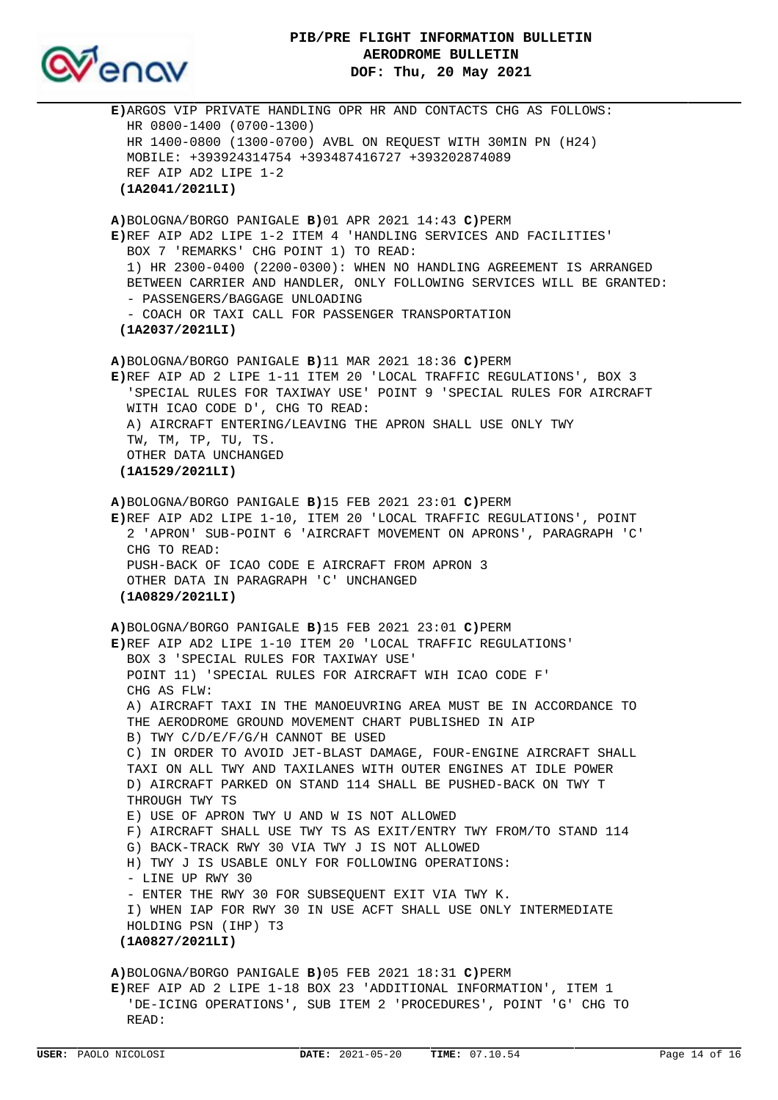

**E)**ARGOS VIP PRIVATE HANDLING OPR HR AND CONTACTS CHG AS FOLLOWS: HR 0800-1400 (0700-1300) HR 1400-0800 (1300-0700) AVBL ON REQUEST WITH 30MIN PN (H24) MOBILE: +393924314754 +393487416727 +393202874089 REF AIP AD2 LIPE 1-2  **(1A2041/2021LI) A)**BOLOGNA/BORGO PANIGALE **B)**01 APR 2021 14:43 **C)**PERM **E)**REF AIP AD2 LIPE 1-2 ITEM 4 'HANDLING SERVICES AND FACILITIES' BOX 7 'REMARKS' CHG POINT 1) TO READ: 1) HR 2300-0400 (2200-0300): WHEN NO HANDLING AGREEMENT IS ARRANGED BETWEEN CARRIER AND HANDLER, ONLY FOLLOWING SERVICES WILL BE GRANTED: - PASSENGERS/BAGGAGE UNLOADING - COACH OR TAXI CALL FOR PASSENGER TRANSPORTATION  **(1A2037/2021LI) A)**BOLOGNA/BORGO PANIGALE **B)**11 MAR 2021 18:36 **C)**PERM **E)**REF AIP AD 2 LIPE 1-11 ITEM 20 'LOCAL TRAFFIC REGULATIONS', BOX 3 'SPECIAL RULES FOR TAXIWAY USE' POINT 9 'SPECIAL RULES FOR AIRCRAFT WITH ICAO CODE D', CHG TO READ: A) AIRCRAFT ENTERING/LEAVING THE APRON SHALL USE ONLY TWY TW, TM, TP, TU, TS. OTHER DATA UNCHANGED  **(1A1529/2021LI) A)**BOLOGNA/BORGO PANIGALE **B)**15 FEB 2021 23:01 **C)**PERM **E)**REF AIP AD2 LIPE 1-10, ITEM 20 'LOCAL TRAFFIC REGULATIONS', POINT 2 'APRON' SUB-POINT 6 'AIRCRAFT MOVEMENT ON APRONS', PARAGRAPH 'C' CHG TO READ: PUSH-BACK OF ICAO CODE E AIRCRAFT FROM APRON 3 OTHER DATA IN PARAGRAPH 'C' UNCHANGED  **(1A0829/2021LI) A)**BOLOGNA/BORGO PANIGALE **B)**15 FEB 2021 23:01 **C)**PERM **E)**REF AIP AD2 LIPE 1-10 ITEM 20 'LOCAL TRAFFIC REGULATIONS' BOX 3 'SPECIAL RULES FOR TAXIWAY USE' POINT 11) 'SPECIAL RULES FOR AIRCRAFT WIH ICAO CODE F' CHG AS FLW: A) AIRCRAFT TAXI IN THE MANOEUVRING AREA MUST BE IN ACCORDANCE TO THE AERODROME GROUND MOVEMENT CHART PUBLISHED IN AIP B) TWY C/D/E/F/G/H CANNOT BE USED C) IN ORDER TO AVOID JET-BLAST DAMAGE, FOUR-ENGINE AIRCRAFT SHALL TAXI ON ALL TWY AND TAXILANES WITH OUTER ENGINES AT IDLE POWER D) AIRCRAFT PARKED ON STAND 114 SHALL BE PUSHED-BACK ON TWY T THROUGH TWY TS E) USE OF APRON TWY U AND W IS NOT ALLOWED F) AIRCRAFT SHALL USE TWY TS AS EXIT/ENTRY TWY FROM/TO STAND 114 G) BACK-TRACK RWY 30 VIA TWY J IS NOT ALLOWED H) TWY J IS USABLE ONLY FOR FOLLOWING OPERATIONS: - LINE UP RWY 30 - ENTER THE RWY 30 FOR SUBSEQUENT EXIT VIA TWY K. I) WHEN IAP FOR RWY 30 IN USE ACFT SHALL USE ONLY INTERMEDIATE HOLDING PSN (IHP) T3  **(1A0827/2021LI) A)**BOLOGNA/BORGO PANIGALE **B)**05 FEB 2021 18:31 **C)**PERM **E)**REF AIP AD 2 LIPE 1-18 BOX 23 'ADDITIONAL INFORMATION', ITEM 1 'DE-ICING OPERATIONS', SUB ITEM 2 'PROCEDURES', POINT 'G' CHG TO

READ: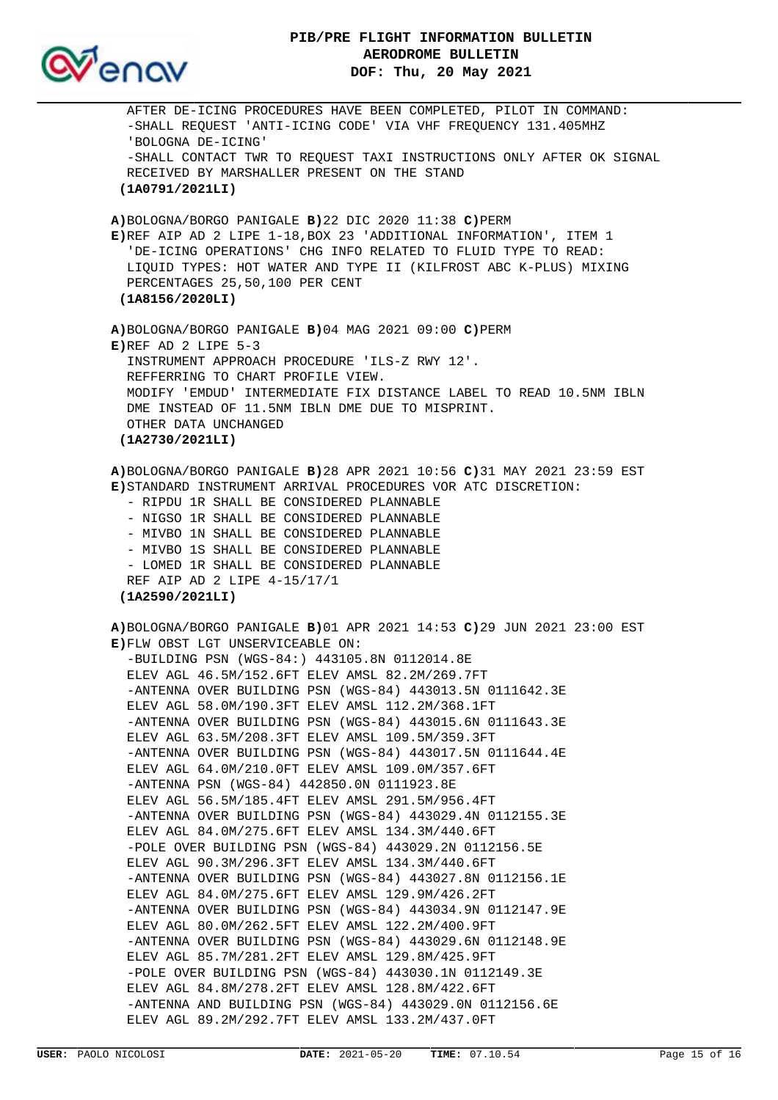

 AFTER DE-ICING PROCEDURES HAVE BEEN COMPLETED, PILOT IN COMMAND: -SHALL REQUEST 'ANTI-ICING CODE' VIA VHF FREQUENCY 131.405MHZ 'BOLOGNA DE-ICING' -SHALL CONTACT TWR TO REQUEST TAXI INSTRUCTIONS ONLY AFTER OK SIGNAL RECEIVED BY MARSHALLER PRESENT ON THE STAND  **(1A0791/2021LI) A)**BOLOGNA/BORGO PANIGALE **B)**22 DIC 2020 11:38 **C)**PERM **E)**REF AIP AD 2 LIPE 1-18,BOX 23 'ADDITIONAL INFORMATION', ITEM 1 'DE-ICING OPERATIONS' CHG INFO RELATED TO FLUID TYPE TO READ: LIQUID TYPES: HOT WATER AND TYPE II (KILFROST ABC K-PLUS) MIXING PERCENTAGES 25,50,100 PER CENT  **(1A8156/2020LI) A)**BOLOGNA/BORGO PANIGALE **B)**04 MAG 2021 09:00 **C)**PERM **E)**REF AD 2 LIPE 5-3 INSTRUMENT APPROACH PROCEDURE 'ILS-Z RWY 12'. REFFERRING TO CHART PROFILE VIEW. MODIFY 'EMDUD' INTERMEDIATE FIX DISTANCE LABEL TO READ 10.5NM IBLN DME INSTEAD OF 11.5NM IBLN DME DUE TO MISPRINT. OTHER DATA UNCHANGED  **(1A2730/2021LI) A)**BOLOGNA/BORGO PANIGALE **B)**28 APR 2021 10:56 **C)**31 MAY 2021 23:59 EST **E)**STANDARD INSTRUMENT ARRIVAL PROCEDURES VOR ATC DISCRETION: - RIPDU 1R SHALL BE CONSIDERED PLANNABLE - NIGSO 1R SHALL BE CONSIDERED PLANNABLE - MIVBO 1N SHALL BE CONSIDERED PLANNABLE - MIVBO 1S SHALL BE CONSIDERED PLANNABLE - LOMED 1R SHALL BE CONSIDERED PLANNABLE REF AIP AD 2 LIPE 4-15/17/1  **(1A2590/2021LI) A)**BOLOGNA/BORGO PANIGALE **B)**01 APR 2021 14:53 **C)**29 JUN 2021 23:00 EST **E)**FLW OBST LGT UNSERVICEABLE ON: -BUILDING PSN (WGS-84:) 443105.8N 0112014.8E ELEV AGL 46.5M/152.6FT ELEV AMSL 82.2M/269.7FT -ANTENNA OVER BUILDING PSN (WGS-84) 443013.5N 0111642.3E ELEV AGL 58.0M/190.3FT ELEV AMSL 112.2M/368.1FT -ANTENNA OVER BUILDING PSN (WGS-84) 443015.6N 0111643.3E ELEV AGL 63.5M/208.3FT ELEV AMSL 109.5M/359.3FT -ANTENNA OVER BUILDING PSN (WGS-84) 443017.5N 0111644.4E ELEV AGL 64.0M/210.0FT ELEV AMSL 109.0M/357.6FT -ANTENNA PSN (WGS-84) 442850.0N 0111923.8E ELEV AGL 56.5M/185.4FT ELEV AMSL 291.5M/956.4FT -ANTENNA OVER BUILDING PSN (WGS-84) 443029.4N 0112155.3E ELEV AGL 84.0M/275.6FT ELEV AMSL 134.3M/440.6FT -POLE OVER BUILDING PSN (WGS-84) 443029.2N 0112156.5E ELEV AGL 90.3M/296.3FT ELEV AMSL 134.3M/440.6FT -ANTENNA OVER BUILDING PSN (WGS-84) 443027.8N 0112156.1E ELEV AGL 84.0M/275.6FT ELEV AMSL 129.9M/426.2FT -ANTENNA OVER BUILDING PSN (WGS-84) 443034.9N 0112147.9E ELEV AGL 80.0M/262.5FT ELEV AMSL 122.2M/400.9FT -ANTENNA OVER BUILDING PSN (WGS-84) 443029.6N 0112148.9E ELEV AGL 85.7M/281.2FT ELEV AMSL 129.8M/425.9FT -POLE OVER BUILDING PSN (WGS-84) 443030.1N 0112149.3E ELEV AGL 84.8M/278.2FT ELEV AMSL 128.8M/422.6FT -ANTENNA AND BUILDING PSN (WGS-84) 443029.0N 0112156.6E ELEV AGL 89.2M/292.7FT ELEV AMSL 133.2M/437.0FT